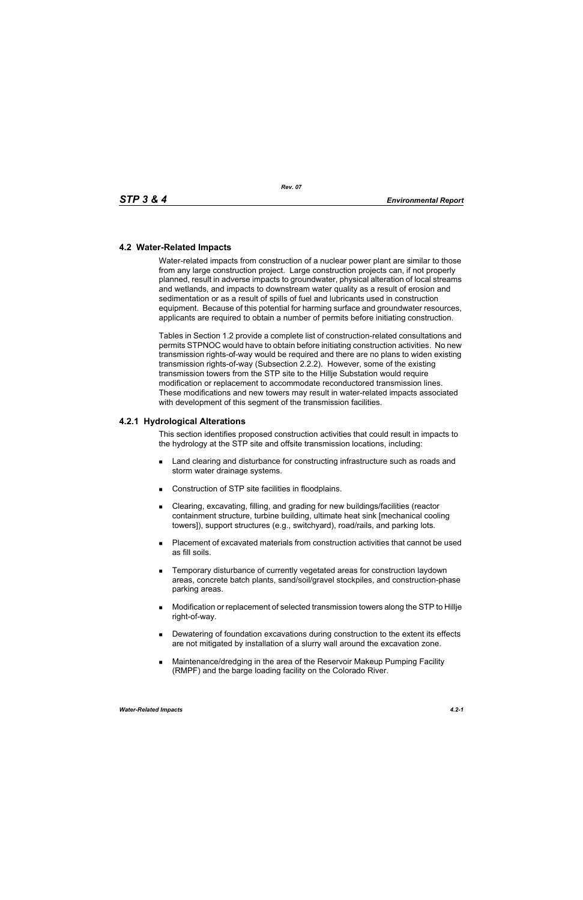## **4.2 Water-Related Impacts**

Water-related impacts from construction of a nuclear power plant are similar to those from any large construction project. Large construction projects can, if not properly planned, result in adverse impacts to groundwater, physical alteration of local streams and wetlands, and impacts to downstream water quality as a result of erosion and sedimentation or as a result of spills of fuel and lubricants used in construction equipment. Because of this potential for harming surface and groundwater resources, applicants are required to obtain a number of permits before initiating construction.

Tables in Section 1.2 provide a complete list of construction-related consultations and permits STPNOC would have to obtain before initiating construction activities. No new transmission rights-of-way would be required and there are no plans to widen existing transmission rights-of-way (Subsection 2.2.2). However, some of the existing transmission towers from the STP site to the Hillje Substation would require modification or replacement to accommodate reconductored transmission lines. These modifications and new towers may result in water-related impacts associated with development of this segment of the transmission facilities.

## **4.2.1 Hydrological Alterations**

This section identifies proposed construction activities that could result in impacts to the hydrology at the STP site and offsite transmission locations, including:

- **EXEC** Land clearing and disturbance for constructing infrastructure such as roads and storm water drainage systems.
- Construction of STP site facilities in floodplains.
- Clearing, excavating, filling, and grading for new buildings/facilities (reactor containment structure, turbine building, ultimate heat sink [mechanical cooling towers]), support structures (e.g., switchyard), road/rails, and parking lots.
- Placement of excavated materials from construction activities that cannot be used as fill soils.
- **EXECTE TEMPORARY DISTINGUION CONSTRANGED META** TEMPORATION IS THE MOVING THE TEMPORARY TEMPORANGED **TEMPORAGHLY** areas, concrete batch plants, sand/soil/gravel stockpiles, and construction-phase parking areas.
- Modification or replacement of selected transmission towers along the STP to Hillje right-of-way.
- **Dewatering of foundation excavations during construction to the extent its effects** are not mitigated by installation of a slurry wall around the excavation zone.
- Maintenance/dredging in the area of the Reservoir Makeup Pumping Facility (RMPF) and the barge loading facility on the Colorado River.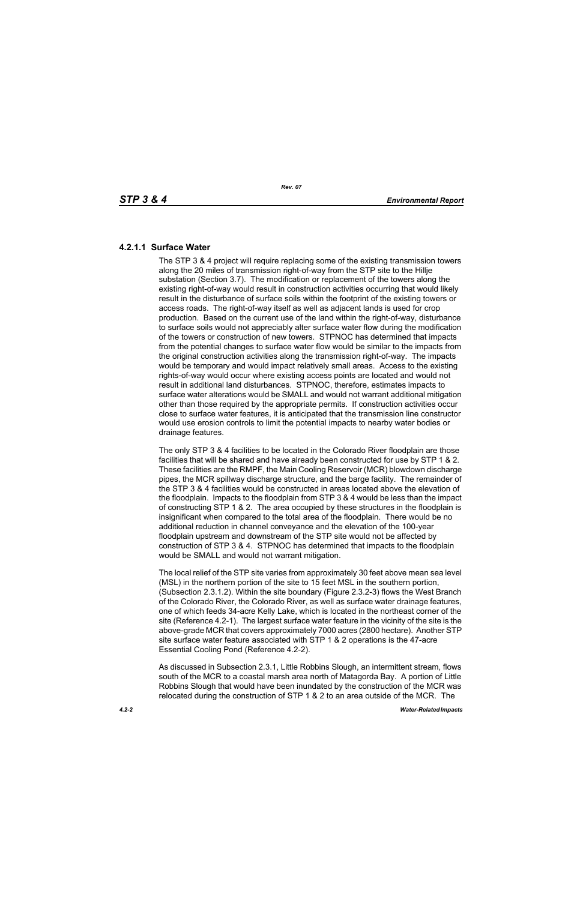# **4.2.1.1 Surface Water**

The STP 3 & 4 project will require replacing some of the existing transmission towers along the 20 miles of transmission right-of-way from the STP site to the Hillje substation (Section 3.7). The modification or replacement of the towers along the existing right-of-way would result in construction activities occurring that would likely result in the disturbance of surface soils within the footprint of the existing towers or access roads. The right-of-way itself as well as adjacent lands is used for crop production. Based on the current use of the land within the right-of-way, disturbance to surface soils would not appreciably alter surface water flow during the modification of the towers or construction of new towers. STPNOC has determined that impacts from the potential changes to surface water flow would be similar to the impacts from the original construction activities along the transmission right-of-way. The impacts would be temporary and would impact relatively small areas. Access to the existing rights-of-way would occur where existing access points are located and would not result in additional land disturbances. STPNOC, therefore, estimates impacts to surface water alterations would be SMALL and would not warrant additional mitigation other than those required by the appropriate permits. If construction activities occur close to surface water features, it is anticipated that the transmission line constructor would use erosion controls to limit the potential impacts to nearby water bodies or drainage features.

The only STP 3 & 4 facilities to be located in the Colorado River floodplain are those facilities that will be shared and have already been constructed for use by STP 1 & 2. These facilities are the RMPF, the Main Cooling Reservoir (MCR) blowdown discharge pipes, the MCR spillway discharge structure, and the barge facility. The remainder of the STP 3 & 4 facilities would be constructed in areas located above the elevation of the floodplain. Impacts to the floodplain from STP 3 & 4 would be less than the impact of constructing STP 1 & 2. The area occupied by these structures in the floodplain is insignificant when compared to the total area of the floodplain. There would be no additional reduction in channel conveyance and the elevation of the 100-year floodplain upstream and downstream of the STP site would not be affected by construction of STP 3 & 4. STPNOC has determined that impacts to the floodplain would be SMALL and would not warrant mitigation.

The local relief of the STP site varies from approximately 30 feet above mean sea level (MSL) in the northern portion of the site to 15 feet MSL in the southern portion, (Subsection 2.3.1.2). Within the site boundary (Figure 2.3.2-3) flows the West Branch of the Colorado River, the Colorado River, as well as surface water drainage features, one of which feeds 34-acre Kelly Lake, which is located in the northeast corner of the site (Reference 4.2-1). The largest surface water feature in the vicinity of the site is the above-grade MCR that covers approximately 7000 acres (2800 hectare). Another STP site surface water feature associated with STP 1 & 2 operations is the 47-acre Essential Cooling Pond (Reference 4.2-2).

As discussed in Subsection 2.3.1, Little Robbins Slough, an intermittent stream, flows south of the MCR to a coastal marsh area north of Matagorda Bay. A portion of Little Robbins Slough that would have been inundated by the construction of the MCR was relocated during the construction of STP 1 & 2 to an area outside of the MCR. The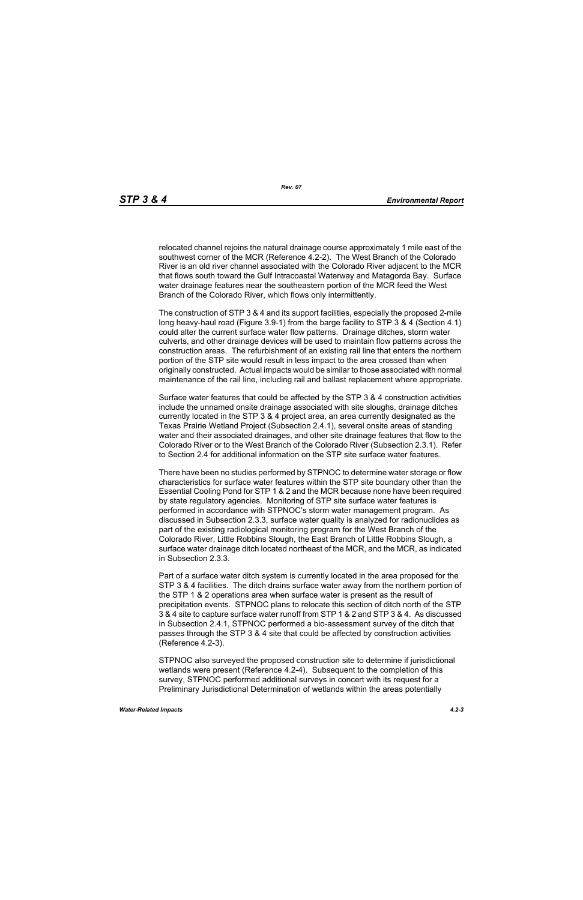relocated channel rejoins the natural drainage course approximately 1 mile east of the southwest corner of the MCR (Reference 4.2-2). The West Branch of the Colorado River is an old river channel associated with the Colorado River adjacent to the MCR that flows south toward the Gulf Intracoastal Waterway and Matagorda Bay. Surface water drainage features near the southeastern portion of the MCR feed the West Branch of the Colorado River, which flows only intermittently.

The construction of STP 3 & 4 and its support facilities, especially the proposed 2-mile long heavy-haul road (Figure 3.9-1) from the barge facility to STP 3 & 4 (Section 4.1) could alter the current surface water flow patterns. Drainage ditches, storm water culverts, and other drainage devices will be used to maintain flow patterns across the construction areas. The refurbishment of an existing rail line that enters the northern portion of the STP site would result in less impact to the area crossed than when originally constructed. Actual impacts would be similar to those associated with normal maintenance of the rail line, including rail and ballast replacement where appropriate.

Surface water features that could be affected by the STP 3 & 4 construction activities include the unnamed onsite drainage associated with site sloughs, drainage ditches currently located in the STP 3 & 4 project area, an area currently designated as the Texas Prairie Wetland Project (Subsection 2.4.1), several onsite areas of standing water and their associated drainages, and other site drainage features that flow to the Colorado River or to the West Branch of the Colorado River (Subsection 2.3.1). Refer to Section 2.4 for additional information on the STP site surface water features.

There have been no studies performed by STPNOC to determine water storage or flow characteristics for surface water features within the STP site boundary other than the Essential Cooling Pond for STP 1 & 2 and the MCR because none have been required by state regulatory agencies. Monitoring of STP site surface water features is performed in accordance with STPNOC's storm water management program. As discussed in Subsection 2.3.3, surface water quality is analyzed for radionuclides as part of the existing radiological monitoring program for the West Branch of the Colorado River, Little Robbins Slough, the East Branch of Little Robbins Slough, a surface water drainage ditch located northeast of the MCR, and the MCR, as indicated in Subsection 2.3.3.

Part of a surface water ditch system is currently located in the area proposed for the STP 3 & 4 facilities. The ditch drains surface water away from the northern portion of the STP 1 & 2 operations area when surface water is present as the result of precipitation events. STPNOC plans to relocate this section of ditch north of the STP 3 & 4 site to capture surface water runoff from STP 1 & 2 and STP 3 & 4. As discussed in Subsection 2.4.1, STPNOC performed a bio-assessment survey of the ditch that passes through the STP 3 & 4 site that could be affected by construction activities (Reference 4.2-3).

STPNOC also surveyed the proposed construction site to determine if jurisdictional wetlands were present (Reference 4.2-4). Subsequent to the completion of this survey, STPNOC performed additional surveys in concert with its request for a Preliminary Jurisdictional Determination of wetlands within the areas potentially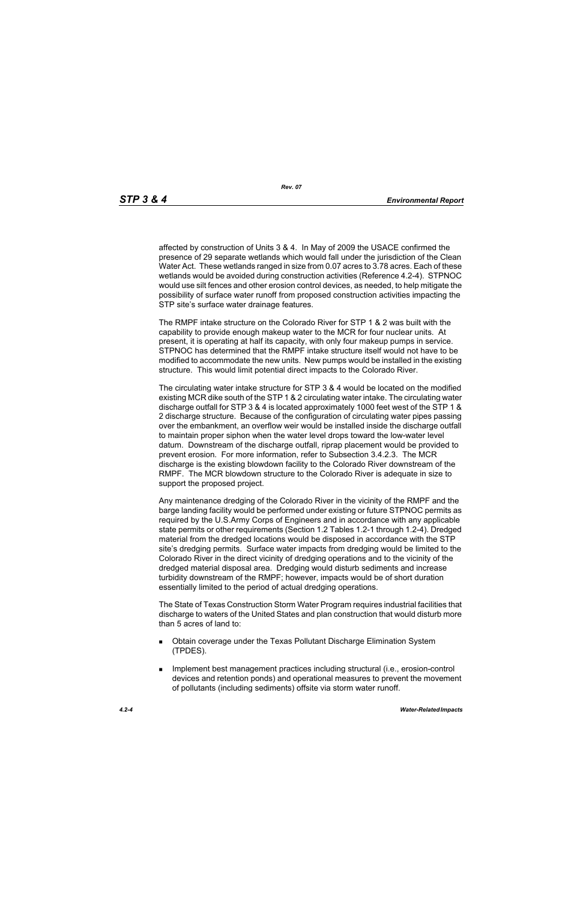affected by construction of Units 3 & 4. In May of 2009 the USACE confirmed the presence of 29 separate wetlands which would fall under the jurisdiction of the Clean Water Act. These wetlands ranged in size from 0.07 acres to 3.78 acres. Each of these wetlands would be avoided during construction activities (Reference 4.2-4). STPNOC would use silt fences and other erosion control devices, as needed, to help mitigate the possibility of surface water runoff from proposed construction activities impacting the STP site's surface water drainage features.

The RMPF intake structure on the Colorado River for STP 1 & 2 was built with the capability to provide enough makeup water to the MCR for four nuclear units. At present, it is operating at half its capacity, with only four makeup pumps in service. STPNOC has determined that the RMPF intake structure itself would not have to be modified to accommodate the new units. New pumps would be installed in the existing structure. This would limit potential direct impacts to the Colorado River.

The circulating water intake structure for STP 3 & 4 would be located on the modified existing MCR dike south of the STP 1 & 2 circulating water intake. The circulating water discharge outfall for STP 3 & 4 is located approximately 1000 feet west of the STP 1 & 2 discharge structure. Because of the configuration of circulating water pipes passing over the embankment, an overflow weir would be installed inside the discharge outfall to maintain proper siphon when the water level drops toward the low-water level datum. Downstream of the discharge outfall, riprap placement would be provided to prevent erosion. For more information, refer to Subsection 3.4.2.3. The MCR discharge is the existing blowdown facility to the Colorado River downstream of the RMPF. The MCR blowdown structure to the Colorado River is adequate in size to support the proposed project.

Any maintenance dredging of the Colorado River in the vicinity of the RMPF and the barge landing facility would be performed under existing or future STPNOC permits as required by the U.S.Army Corps of Engineers and in accordance with any applicable state permits or other requirements (Section 1.2 Tables 1.2-1 through 1.2-4). Dredged material from the dredged locations would be disposed in accordance with the STP site's dredging permits. Surface water impacts from dredging would be limited to the Colorado River in the direct vicinity of dredging operations and to the vicinity of the dredged material disposal area. Dredging would disturb sediments and increase turbidity downstream of the RMPF; however, impacts would be of short duration essentially limited to the period of actual dredging operations.

The State of Texas Construction Storm Water Program requires industrial facilities that discharge to waters of the United States and plan construction that would disturb more than 5 acres of land to:

- Obtain coverage under the Texas Pollutant Discharge Elimination System (TPDES).
- **IMPLEMENT MANAGEMENT EXAMPLE THE IMPLEMENT INCORDIT IN THE IMPLEMENT INCORDENT INCORDIT IN THE IMPLEMENT INCORDIT IN THE IMPLEMENT INCORDENT INCORDITION** devices and retention ponds) and operational measures to prevent the movement of pollutants (including sediments) offsite via storm water runoff.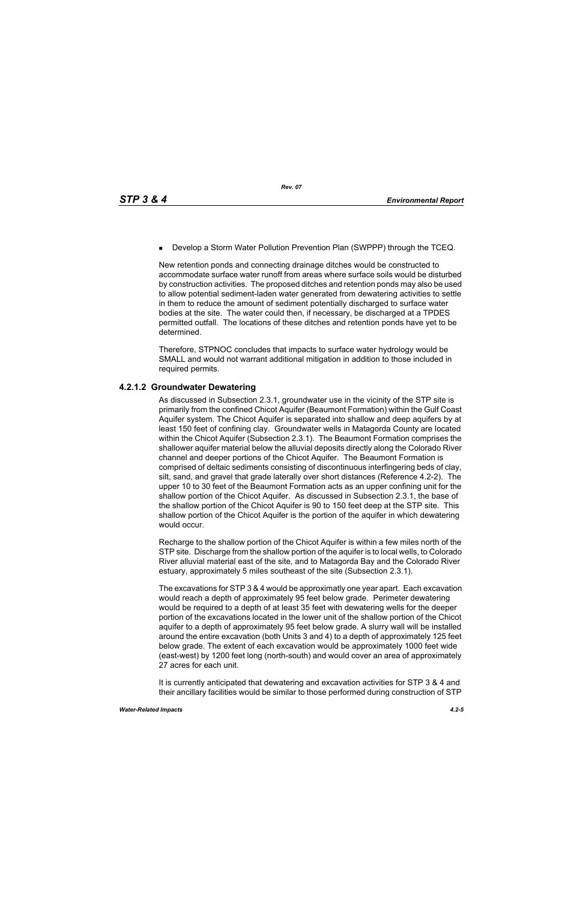**Develop a Storm Water Pollution Prevention Plan (SWPPP) through the TCEQ.** 

New retention ponds and connecting drainage ditches would be constructed to accommodate surface water runoff from areas where surface soils would be disturbed by construction activities. The proposed ditches and retention ponds may also be used to allow potential sediment-laden water generated from dewatering activities to settle in them to reduce the amount of sediment potentially discharged to surface water bodies at the site. The water could then, if necessary, be discharged at a TPDES permitted outfall. The locations of these ditches and retention ponds have yet to be determined.

Therefore, STPNOC concludes that impacts to surface water hydrology would be SMALL and would not warrant additional mitigation in addition to those included in required permits.

# **4.2.1.2 Groundwater Dewatering**

As discussed in Subsection 2.3.1, groundwater use in the vicinity of the STP site is primarily from the confined Chicot Aquifer (Beaumont Formation) within the Gulf Coast Aquifer system. The Chicot Aquifer is separated into shallow and deep aquifers by at least 150 feet of confining clay. Groundwater wells in Matagorda County are located within the Chicot Aquifer (Subsection 2.3.1). The Beaumont Formation comprises the shallower aquifer material below the alluvial deposits directly along the Colorado River channel and deeper portions of the Chicot Aquifer. The Beaumont Formation is comprised of deltaic sediments consisting of discontinuous interfingering beds of clay, silt, sand, and gravel that grade laterally over short distances (Reference 4.2-2). The upper 10 to 30 feet of the Beaumont Formation acts as an upper confining unit for the shallow portion of the Chicot Aquifer. As discussed in Subsection 2.3.1, the base of the shallow portion of the Chicot Aquifer is 90 to 150 feet deep at the STP site. This shallow portion of the Chicot Aquifer is the portion of the aquifer in which dewatering would occur.

Recharge to the shallow portion of the Chicot Aquifer is within a few miles north of the STP site. Discharge from the shallow portion of the aquifer is to local wells, to Colorado River alluvial material east of the site, and to Matagorda Bay and the Colorado River estuary, approximately 5 miles southeast of the site (Subsection 2.3.1).

The excavations for STP 3 & 4 would be approximatly one year apart. Each excavation would reach a depth of approximately 95 feet below grade. Perimeter dewatering would be required to a depth of at least 35 feet with dewatering wells for the deeper portion of the excavations located in the lower unit of the shallow portion of the Chicot aquifer to a depth of approximately 95 feet below grade. A slurry wall will be installed around the entire excavation (both Units 3 and 4) to a depth of approximately 125 feet below grade. The extent of each excavation would be approximately 1000 feet wide (east-west) by 1200 feet long (north-south) and would cover an area of approximately 27 acres for each unit.

It is currently anticipated that dewatering and excavation activities for STP 3 & 4 and their ancillary facilities would be similar to those performed during construction of STP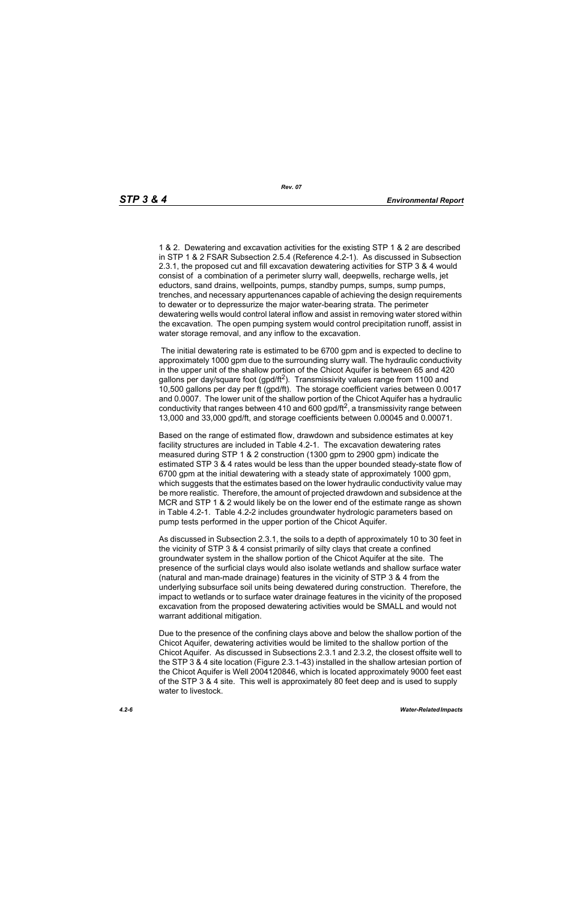1 & 2. Dewatering and excavation activities for the existing STP 1 & 2 are described in STP 1 & 2 FSAR Subsection 2.5.4 (Reference 4.2-1). As discussed in Subsection 2.3.1, the proposed cut and fill excavation dewatering activities for STP 3 & 4 would consist of a combination of a perimeter slurry wall, deepwells, recharge wells, jet eductors, sand drains, wellpoints, pumps, standby pumps, sumps, sump pumps, trenches, and necessary appurtenances capable of achieving the design requirements to dewater or to depressurize the major water-bearing strata. The perimeter dewatering wells would control lateral inflow and assist in removing water stored within the excavation. The open pumping system would control precipitation runoff, assist in water storage removal, and any inflow to the excavation.

 The initial dewatering rate is estimated to be 6700 gpm and is expected to decline to approximately 1000 gpm due to the surrounding slurry wall. The hydraulic conductivity in the upper unit of the shallow portion of the Chicot Aquifer is between 65 and 420 gallons per day/square foot (gpd/ft<sup>2</sup>). Transmissivity values range from 1100 and 10,500 gallons per day per ft (gpd/ft). The storage coefficient varies between 0.0017 and 0.0007. The lower unit of the shallow portion of the Chicot Aquifer has a hydraulic conductivity that ranges between 410 and 600 gpd/ft<sup>2</sup>, a transmissivity range between 13,000 and 33,000 gpd/ft, and storage coefficients between 0.00045 and 0.00071.

Based on the range of estimated flow, drawdown and subsidence estimates at key facility structures are included in Table 4.2-1. The excavation dewatering rates measured during STP 1 & 2 construction (1300 gpm to 2900 gpm) indicate the estimated STP 3 & 4 rates would be less than the upper bounded steady-state flow of 6700 gpm at the initial dewatering with a steady state of approximately 1000 gpm, which suggests that the estimates based on the lower hydraulic conductivity value may be more realistic. Therefore, the amount of projected drawdown and subsidence at the MCR and STP 1 & 2 would likely be on the lower end of the estimate range as shown in Table 4.2-1. Table 4.2-2 includes groundwater hydrologic parameters based on pump tests performed in the upper portion of the Chicot Aquifer.

As discussed in Subsection 2.3.1, the soils to a depth of approximately 10 to 30 feet in the vicinity of STP 3 & 4 consist primarily of silty clays that create a confined groundwater system in the shallow portion of the Chicot Aquifer at the site. The presence of the surficial clays would also isolate wetlands and shallow surface water (natural and man-made drainage) features in the vicinity of STP 3 & 4 from the underlying subsurface soil units being dewatered during construction. Therefore, the impact to wetlands or to surface water drainage features in the vicinity of the proposed excavation from the proposed dewatering activities would be SMALL and would not warrant additional mitigation.

Due to the presence of the confining clays above and below the shallow portion of the Chicot Aquifer, dewatering activities would be limited to the shallow portion of the Chicot Aquifer. As discussed in Subsections 2.3.1 and 2.3.2, the closest offsite well to the STP 3 & 4 site location (Figure 2.3.1-43) installed in the shallow artesian portion of the Chicot Aquifer is Well 2004120846, which is located approximately 9000 feet east of the STP 3 & 4 site. This well is approximately 80 feet deep and is used to supply water to livestock.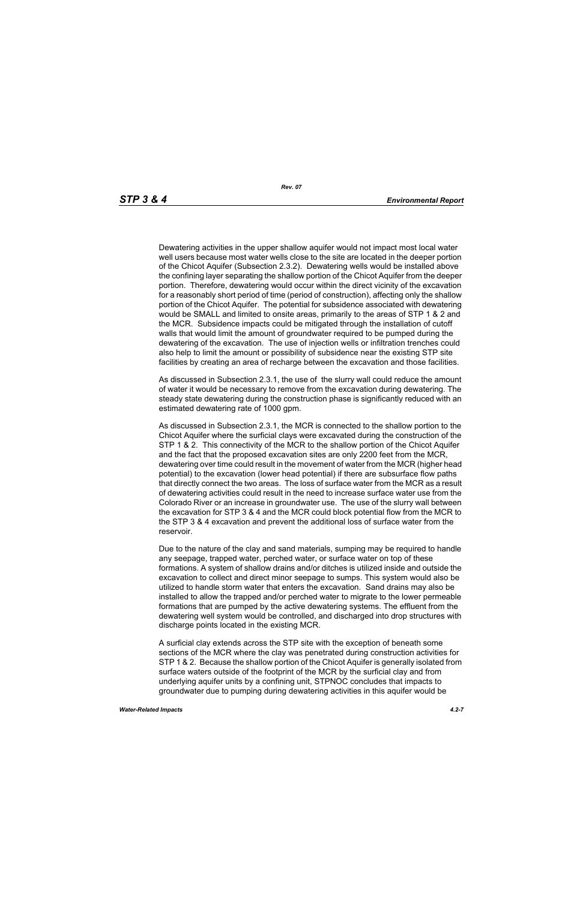Dewatering activities in the upper shallow aquifer would not impact most local water well users because most water wells close to the site are located in the deeper portion of the Chicot Aquifer (Subsection 2.3.2). Dewatering wells would be installed above the confining layer separating the shallow portion of the Chicot Aquifer from the deeper portion. Therefore, dewatering would occur within the direct vicinity of the excavation for a reasonably short period of time (period of construction), affecting only the shallow portion of the Chicot Aquifer. The potential for subsidence associated with dewatering would be SMALL and limited to onsite areas, primarily to the areas of STP 1 & 2 and the MCR. Subsidence impacts could be mitigated through the installation of cutoff walls that would limit the amount of groundwater required to be pumped during the dewatering of the excavation. The use of injection wells or infiltration trenches could also help to limit the amount or possibility of subsidence near the existing STP site facilities by creating an area of recharge between the excavation and those facilities.

As discussed in Subsection 2.3.1, the use of the slurry wall could reduce the amount of water it would be necessary to remove from the excavation during dewatering. The steady state dewatering during the construction phase is significantly reduced with an estimated dewatering rate of 1000 gpm.

As discussed in Subsection 2.3.1, the MCR is connected to the shallow portion to the Chicot Aquifer where the surficial clays were excavated during the construction of the STP 1 & 2. This connectivity of the MCR to the shallow portion of the Chicot Aquifer and the fact that the proposed excavation sites are only 2200 feet from the MCR, dewatering over time could result in the movement of water from the MCR (higher head potential) to the excavation (lower head potential) if there are subsurface flow paths that directly connect the two areas. The loss of surface water from the MCR as a result of dewatering activities could result in the need to increase surface water use from the Colorado River or an increase in groundwater use. The use of the slurry wall between the excavation for STP 3 & 4 and the MCR could block potential flow from the MCR to the STP 3 & 4 excavation and prevent the additional loss of surface water from the reservoir.

Due to the nature of the clay and sand materials, sumping may be required to handle any seepage, trapped water, perched water, or surface water on top of these formations. A system of shallow drains and/or ditches is utilized inside and outside the excavation to collect and direct minor seepage to sumps. This system would also be utilized to handle storm water that enters the excavation. Sand drains may also be installed to allow the trapped and/or perched water to migrate to the lower permeable formations that are pumped by the active dewatering systems. The effluent from the dewatering well system would be controlled, and discharged into drop structures with discharge points located in the existing MCR.

A surficial clay extends across the STP site with the exception of beneath some sections of the MCR where the clay was penetrated during construction activities for STP 1 & 2. Because the shallow portion of the Chicot Aquifer is generally isolated from surface waters outside of the footprint of the MCR by the surficial clay and from underlying aquifer units by a confining unit, STPNOC concludes that impacts to groundwater due to pumping during dewatering activities in this aquifer would be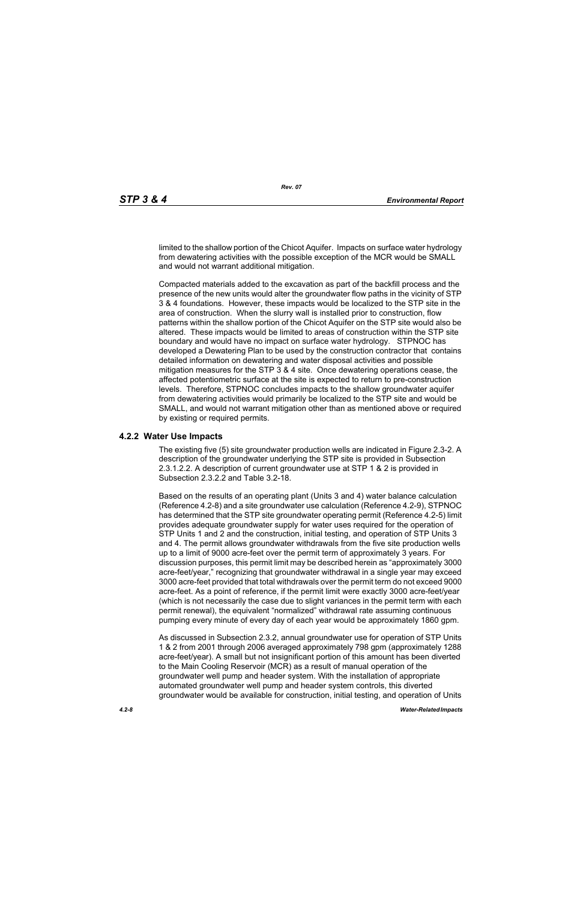limited to the shallow portion of the Chicot Aquifer. Impacts on surface water hydrology from dewatering activities with the possible exception of the MCR would be SMALL and would not warrant additional mitigation.

Compacted materials added to the excavation as part of the backfill process and the presence of the new units would alter the groundwater flow paths in the vicinity of STP 3 & 4 foundations. However, these impacts would be localized to the STP site in the area of construction. When the slurry wall is installed prior to construction, flow patterns within the shallow portion of the Chicot Aquifer on the STP site would also be altered. These impacts would be limited to areas of construction within the STP site boundary and would have no impact on surface water hydrology. STPNOC has developed a Dewatering Plan to be used by the construction contractor that contains detailed information on dewatering and water disposal activities and possible mitigation measures for the STP 3 & 4 site. Once dewatering operations cease, the affected potentiometric surface at the site is expected to return to pre-construction levels. Therefore, STPNOC concludes impacts to the shallow groundwater aquifer from dewatering activities would primarily be localized to the STP site and would be SMALL, and would not warrant mitigation other than as mentioned above or required by existing or required permits.

#### **4.2.2 Water Use Impacts**

The existing five (5) site groundwater production wells are indicated in Figure 2.3-2. A description of the groundwater underlying the STP site is provided in Subsection 2.3.1.2.2. A description of current groundwater use at STP 1 & 2 is provided in Subsection 2.3.2.2 and Table 3.2-18.

Based on the results of an operating plant (Units 3 and 4) water balance calculation (Reference 4.2-8) and a site groundwater use calculation (Reference 4.2-9), STPNOC has determined that the STP site groundwater operating permit (Reference 4.2-5) limit provides adequate groundwater supply for water uses required for the operation of STP Units 1 and 2 and the construction, initial testing, and operation of STP Units 3 and 4. The permit allows groundwater withdrawals from the five site production wells up to a limit of 9000 acre-feet over the permit term of approximately 3 years. For discussion purposes, this permit limit may be described herein as "approximately 3000 acre-feet/year," recognizing that groundwater withdrawal in a single year may exceed 3000 acre-feet provided that total withdrawals over the permit term do not exceed 9000 acre-feet. As a point of reference, if the permit limit were exactly 3000 acre-feet/year (which is not necessarily the case due to slight variances in the permit term with each permit renewal), the equivalent "normalized" withdrawal rate assuming continuous pumping every minute of every day of each year would be approximately 1860 gpm.

As discussed in Subsection 2.3.2, annual groundwater use for operation of STP Units 1 & 2 from 2001 through 2006 averaged approximately 798 gpm (approximately 1288 acre-feet/year). A small but not insignificant portion of this amount has been diverted to the Main Cooling Reservoir (MCR) as a result of manual operation of the groundwater well pump and header system. With the installation of appropriate automated groundwater well pump and header system controls, this diverted groundwater would be available for construction, initial testing, and operation of Units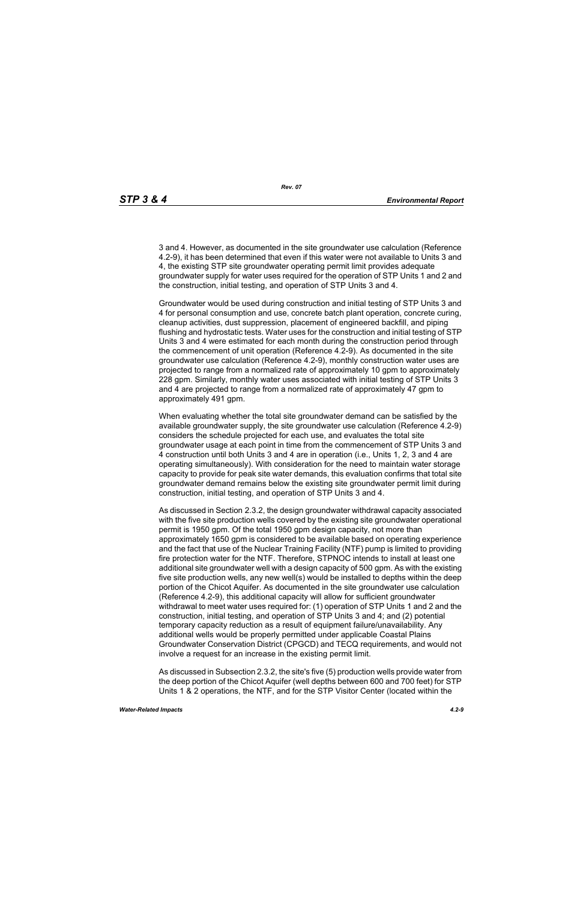3 and 4. However, as documented in the site groundwater use calculation (Reference 4.2-9), it has been determined that even if this water were not available to Units 3 and 4, the existing STP site groundwater operating permit limit provides adequate groundwater supply for water uses required for the operation of STP Units 1 and 2 and the construction, initial testing, and operation of STP Units 3 and 4.

Groundwater would be used during construction and initial testing of STP Units 3 and 4 for personal consumption and use, concrete batch plant operation, concrete curing, cleanup activities, dust suppression, placement of engineered backfill, and piping flushing and hydrostatic tests. Water uses for the construction and initial testing of STP Units 3 and 4 were estimated for each month during the construction period through the commencement of unit operation (Reference 4.2-9). As documented in the site groundwater use calculation (Reference 4.2-9), monthly construction water uses are projected to range from a normalized rate of approximately 10 gpm to approximately 228 gpm. Similarly, monthly water uses associated with initial testing of STP Units 3 and 4 are projected to range from a normalized rate of approximately 47 gpm to approximately 491 gpm.

When evaluating whether the total site groundwater demand can be satisfied by the available groundwater supply, the site groundwater use calculation (Reference 4.2-9) considers the schedule projected for each use, and evaluates the total site groundwater usage at each point in time from the commencement of STP Units 3 and 4 construction until both Units 3 and 4 are in operation (i.e., Units 1, 2, 3 and 4 are operating simultaneously). With consideration for the need to maintain water storage capacity to provide for peak site water demands, this evaluation confirms that total site groundwater demand remains below the existing site groundwater permit limit during construction, initial testing, and operation of STP Units 3 and 4.

As discussed in Section 2.3.2, the design groundwater withdrawal capacity associated with the five site production wells covered by the existing site groundwater operational permit is 1950 gpm. Of the total 1950 gpm design capacity, not more than approximately 1650 gpm is considered to be available based on operating experience and the fact that use of the Nuclear Training Facility (NTF) pump is limited to providing fire protection water for the NTF. Therefore, STPNOC intends to install at least one additional site groundwater well with a design capacity of 500 gpm. As with the existing five site production wells, any new well(s) would be installed to depths within the deep portion of the Chicot Aquifer. As documented in the site groundwater use calculation (Reference 4.2-9), this additional capacity will allow for sufficient groundwater withdrawal to meet water uses required for: (1) operation of STP Units 1 and 2 and the construction, initial testing, and operation of STP Units 3 and 4; and (2) potential temporary capacity reduction as a result of equipment failure/unavailability. Any additional wells would be properly permitted under applicable Coastal Plains Groundwater Conservation District (CPGCD) and TECQ requirements, and would not involve a request for an increase in the existing permit limit.

As discussed in Subsection 2.3.2, the site's five (5) production wells provide water from the deep portion of the Chicot Aquifer (well depths between 600 and 700 feet) for STP Units 1 & 2 operations, the NTF, and for the STP Visitor Center (located within the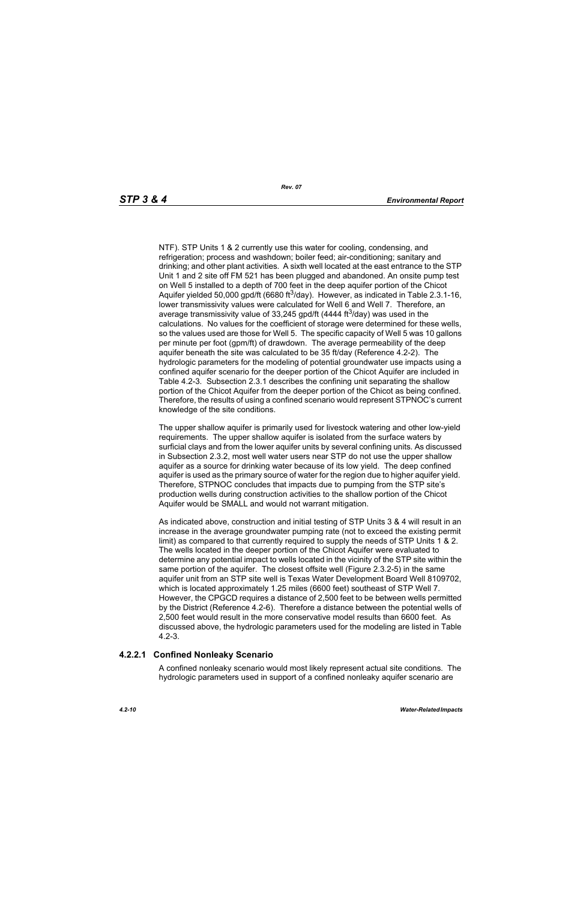NTF). STP Units 1 & 2 currently use this water for cooling, condensing, and refrigeration; process and washdown; boiler feed; air-conditioning; sanitary and drinking; and other plant activities. A sixth well located at the east entrance to the STP Unit 1 and 2 site off FM 521 has been plugged and abandoned. An onsite pump test on Well 5 installed to a depth of 700 feet in the deep aquifer portion of the Chicot Aquifer yielded 50,000 gpd/ft (6680 ft<sup>3</sup>/day). However, as indicated in Table 2.3.1-16, lower transmissivity values were calculated for Well 6 and Well 7. Therefore, an average transmissivity value of 33,245 gpd/ft (4444 ft<sup>3</sup>/day) was used in the calculations. No values for the coefficient of storage were determined for these wells, so the values used are those for Well 5. The specific capacity of Well 5 was 10 gallons per minute per foot (gpm/ft) of drawdown. The average permeability of the deep aquifer beneath the site was calculated to be 35 ft/day (Reference 4.2-2). The hydrologic parameters for the modeling of potential groundwater use impacts using a confined aquifer scenario for the deeper portion of the Chicot Aquifer are included in Table 4.2-3. Subsection 2.3.1 describes the confining unit separating the shallow portion of the Chicot Aquifer from the deeper portion of the Chicot as being confined. Therefore, the results of using a confined scenario would represent STPNOC's current knowledge of the site conditions.

The upper shallow aquifer is primarily used for livestock watering and other low-yield requirements. The upper shallow aquifer is isolated from the surface waters by surficial clays and from the lower aquifer units by several confining units. As discussed in Subsection 2.3.2, most well water users near STP do not use the upper shallow aquifer as a source for drinking water because of its low yield. The deep confined aquifer is used as the primary source of water for the region due to higher aquifer yield. Therefore, STPNOC concludes that impacts due to pumping from the STP site's production wells during construction activities to the shallow portion of the Chicot Aquifer would be SMALL and would not warrant mitigation.

As indicated above, construction and initial testing of STP Units 3 & 4 will result in an increase in the average groundwater pumping rate (not to exceed the existing permit limit) as compared to that currently required to supply the needs of STP Units 1 & 2. The wells located in the deeper portion of the Chicot Aquifer were evaluated to determine any potential impact to wells located in the vicinity of the STP site within the same portion of the aquifer. The closest offsite well (Figure 2.3.2-5) in the same aquifer unit from an STP site well is Texas Water Development Board Well 8109702, which is located approximately 1.25 miles (6600 feet) southeast of STP Well 7. However, the CPGCD requires a distance of 2,500 feet to be between wells permitted by the District (Reference 4.2-6). Therefore a distance between the potential wells of 2,500 feet would result in the more conservative model results than 6600 feet. As discussed above, the hydrologic parameters used for the modeling are listed in Table 4.2-3.

# **4.2.2.1 Confined Nonleaky Scenario**

A confined nonleaky scenario would most likely represent actual site conditions. The hydrologic parameters used in support of a confined nonleaky aquifer scenario are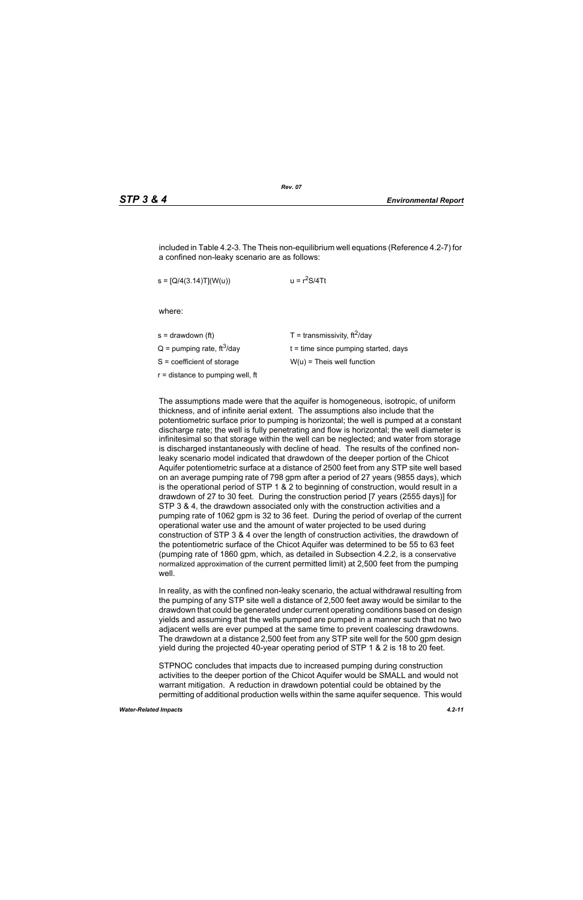included in Table 4.2-3. The Theis non-equilibrium well equations (Reference 4.2-7) for a confined non-leaky scenario are as follows:

 $s = [Q/4(3.14)T](W(u))$   $u = r<sup>2</sup>S/4Tt$ 

where:

| s = drawdown (ft)                        | T = transmissivity, $\text{ft}^2/\text{day}$ |
|------------------------------------------|----------------------------------------------|
| $Q =$ pumping rate, ft <sup>3</sup> /day | $t =$ time since pumping started, days       |
| S = coefficient of storage               | $W(u)$ = Theis well function                 |
| r = distance to pumping well, ft         |                                              |
|                                          |                                              |

The assumptions made were that the aquifer is homogeneous, isotropic, of uniform thickness, and of infinite aerial extent. The assumptions also include that the potentiometric surface prior to pumping is horizontal; the well is pumped at a constant discharge rate; the well is fully penetrating and flow is horizontal; the well diameter is infinitesimal so that storage within the well can be neglected; and water from storage is discharged instantaneously with decline of head. The results of the confined nonleaky scenario model indicated that drawdown of the deeper portion of the Chicot Aquifer potentiometric surface at a distance of 2500 feet from any STP site well based on an average pumping rate of 798 gpm after a period of 27 years (9855 days), which is the operational period of STP 1 & 2 to beginning of construction, would result in a drawdown of 27 to 30 feet. During the construction period [7 years (2555 days)] for STP 3 & 4, the drawdown associated only with the construction activities and a pumping rate of 1062 gpm is 32 to 36 feet. During the period of overlap of the current operational water use and the amount of water projected to be used during construction of STP 3 & 4 over the length of construction activities, the drawdown of the potentiometric surface of the Chicot Aquifer was determined to be 55 to 63 feet (pumping rate of 1860 gpm, which, as detailed in Subsection 4.2.2, is a conservative normalized approximation of the current permitted limit) at 2,500 feet from the pumping well

In reality, as with the confined non-leaky scenario, the actual withdrawal resulting from the pumping of any STP site well a distance of 2,500 feet away would be similar to the drawdown that could be generated under current operating conditions based on design yields and assuming that the wells pumped are pumped in a manner such that no two adjacent wells are ever pumped at the same time to prevent coalescing drawdowns. The drawdown at a distance 2,500 feet from any STP site well for the 500 gpm design yield during the projected 40-year operating period of STP 1 & 2 is 18 to 20 feet.

STPNOC concludes that impacts due to increased pumping during construction activities to the deeper portion of the Chicot Aquifer would be SMALL and would not warrant mitigation. A reduction in drawdown potential could be obtained by the permitting of additional production wells within the same aquifer sequence. This would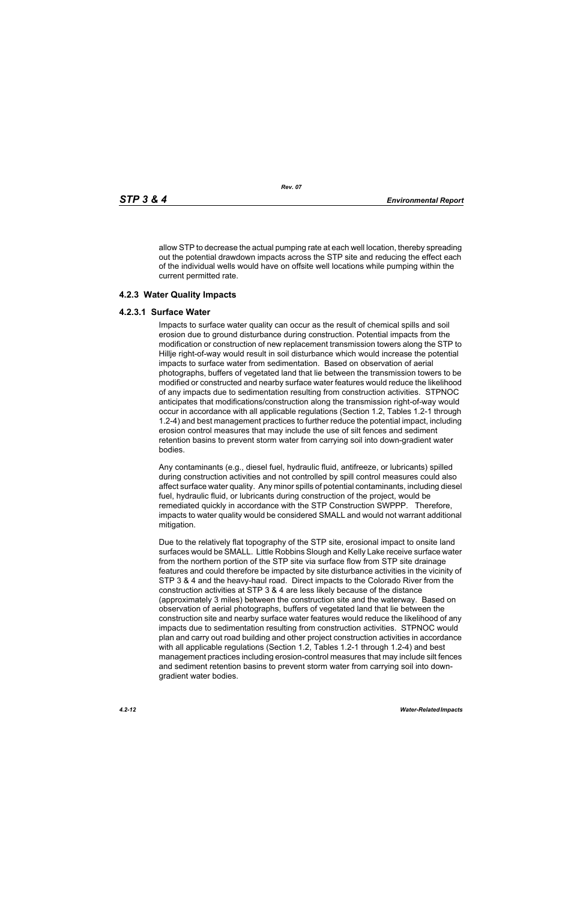allow STP to decrease the actual pumping rate at each well location, thereby spreading out the potential drawdown impacts across the STP site and reducing the effect each of the individual wells would have on offsite well locations while pumping within the current permitted rate.

## **4.2.3 Water Quality Impacts**

#### **4.2.3.1 Surface Water**

Impacts to surface water quality can occur as the result of chemical spills and soil erosion due to ground disturbance during construction. Potential impacts from the modification or construction of new replacement transmission towers along the STP to Hillje right-of-way would result in soil disturbance which would increase the potential impacts to surface water from sedimentation. Based on observation of aerial photographs, buffers of vegetated land that lie between the transmission towers to be modified or constructed and nearby surface water features would reduce the likelihood of any impacts due to sedimentation resulting from construction activities. STPNOC anticipates that modifications/construction along the transmission right-of-way would occur in accordance with all applicable regulations (Section 1.2, Tables 1.2-1 through 1.2-4) and best management practices to further reduce the potential impact, including erosion control measures that may include the use of silt fences and sediment retention basins to prevent storm water from carrying soil into down-gradient water bodies.

Any contaminants (e.g., diesel fuel, hydraulic fluid, antifreeze, or lubricants) spilled during construction activities and not controlled by spill control measures could also affect surface water quality. Any minor spills of potential contaminants, including diesel fuel, hydraulic fluid, or lubricants during construction of the project, would be remediated quickly in accordance with the STP Construction SWPPP. Therefore, impacts to water quality would be considered SMALL and would not warrant additional mitigation.

Due to the relatively flat topography of the STP site, erosional impact to onsite land surfaces would be SMALL. Little Robbins Slough and Kelly Lake receive surface water from the northern portion of the STP site via surface flow from STP site drainage features and could therefore be impacted by site disturbance activities in the vicinity of STP 3 & 4 and the heavy-haul road. Direct impacts to the Colorado River from the construction activities at STP 3 & 4 are less likely because of the distance (approximately 3 miles) between the construction site and the waterway. Based on observation of aerial photographs, buffers of vegetated land that lie between the construction site and nearby surface water features would reduce the likelihood of any impacts due to sedimentation resulting from construction activities. STPNOC would plan and carry out road building and other project construction activities in accordance with all applicable regulations (Section 1.2, Tables 1.2-1 through 1.2-4) and best management practices including erosion-control measures that may include silt fences and sediment retention basins to prevent storm water from carrying soil into downgradient water bodies.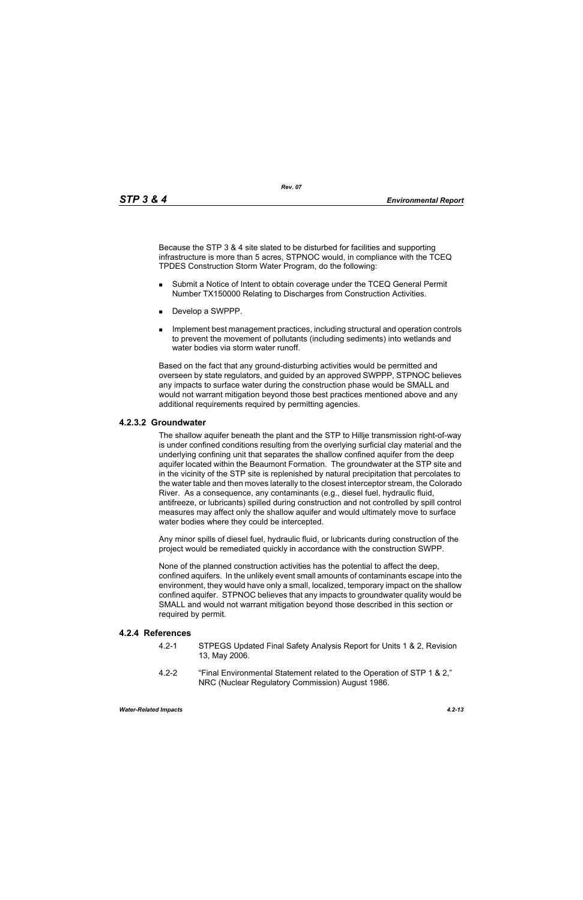Because the STP 3 & 4 site slated to be disturbed for facilities and supporting infrastructure is more than 5 acres, STPNOC would, in compliance with the TCEQ TPDES Construction Storm Water Program, do the following:

- **Submit a Notice of Intent to obtain coverage under the TCEQ General Permit** Number TX150000 Relating to Discharges from Construction Activities.
- Develop a SWPPP.
- **IMPLEMENT MANAGEMENT MANAGEMENT CONTROLLER** Including structural and operation controls to prevent the movement of pollutants (including sediments) into wetlands and water bodies via storm water runoff

Based on the fact that any ground-disturbing activities would be permitted and overseen by state regulators, and guided by an approved SWPPP, STPNOC believes any impacts to surface water during the construction phase would be SMALL and would not warrant mitigation beyond those best practices mentioned above and any additional requirements required by permitting agencies.

# **4.2.3.2 Groundwater**

The shallow aquifer beneath the plant and the STP to Hillje transmission right-of-way is under confined conditions resulting from the overlying surficial clay material and the underlying confining unit that separates the shallow confined aquifer from the deep aquifer located within the Beaumont Formation. The groundwater at the STP site and in the vicinity of the STP site is replenished by natural precipitation that percolates to the water table and then moves laterally to the closest interceptor stream, the Colorado River. As a consequence, any contaminants (e.g., diesel fuel, hydraulic fluid, antifreeze, or lubricants) spilled during construction and not controlled by spill control measures may affect only the shallow aquifer and would ultimately move to surface water bodies where they could be intercepted.

Any minor spills of diesel fuel, hydraulic fluid, or lubricants during construction of the project would be remediated quickly in accordance with the construction SWPP.

None of the planned construction activities has the potential to affect the deep, confined aquifers. In the unlikely event small amounts of contaminants escape into the environment, they would have only a small, localized, temporary impact on the shallow confined aquifer. STPNOC believes that any impacts to groundwater quality would be SMALL and would not warrant mitigation beyond those described in this section or required by permit.

# **4.2.4 References**

- 4.2-1 STPEGS Updated Final Safety Analysis Report for Units 1 & 2, Revision 13, May 2006.
- 4.2-2 "Final Environmental Statement related to the Operation of STP 1 & 2," NRC (Nuclear Regulatory Commission) August 1986.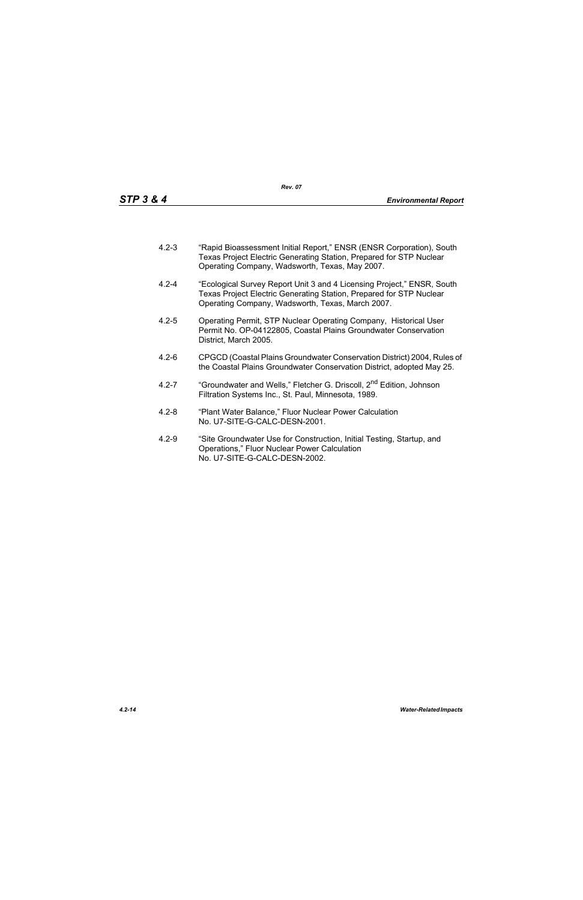- 4.2-3 "Rapid Bioassessment Initial Report," ENSR (ENSR Corporation), South Texas Project Electric Generating Station, Prepared for STP Nuclear Operating Company, Wadsworth, Texas, May 2007.
- 4.2-4 "Ecological Survey Report Unit 3 and 4 Licensing Project," ENSR, South Texas Project Electric Generating Station, Prepared for STP Nuclear Operating Company, Wadsworth, Texas, March 2007.
- 4.2-5 Operating Permit, STP Nuclear Operating Company, Historical User Permit No. OP-04122805, Coastal Plains Groundwater Conservation District, March 2005.
- 4.2-6 CPGCD (Coastal Plains Groundwater Conservation District) 2004, Rules of the Coastal Plains Groundwater Conservation District, adopted May 25.
- 4.2-7 "Groundwater and Wells," Fletcher G. Driscoll, 2<sup>nd</sup> Edition, Johnson Filtration Systems Inc., St. Paul, Minnesota, 1989.
- 4.2-8 "Plant Water Balance," Fluor Nuclear Power Calculation No. U7-SITE-G-CALC-DESN-2001.
- 4.2-9 "Site Groundwater Use for Construction, Initial Testing, Startup, and Operations," Fluor Nuclear Power Calculation No. U7-SITE-G-CALC-DESN-2002.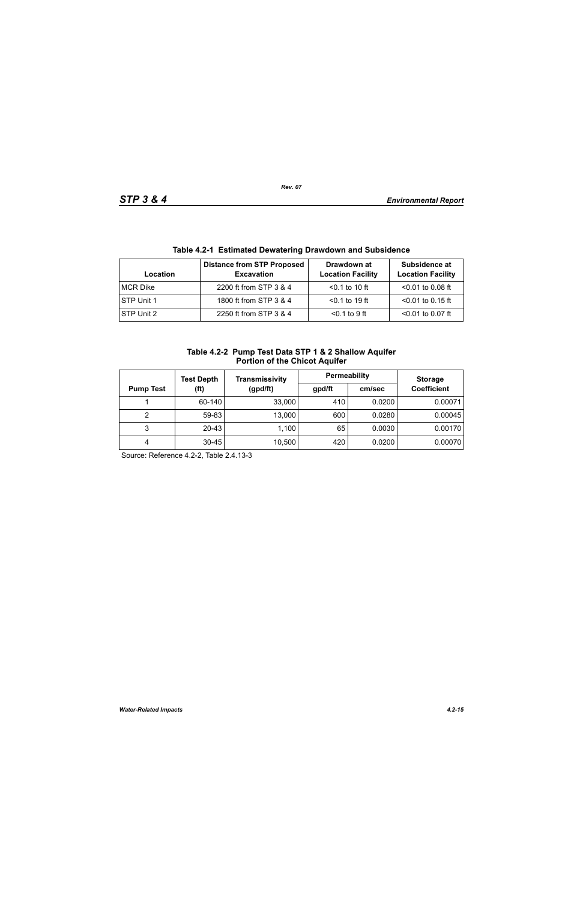| Table 4.2-T EStimated Dewatering Drawdown and Subsidence |                                                        |                                         |                                           |  |  |
|----------------------------------------------------------|--------------------------------------------------------|-----------------------------------------|-------------------------------------------|--|--|
| Location                                                 | <b>Distance from STP Proposed</b><br><b>Excavation</b> | Drawdown at<br><b>Location Facility</b> | Subsidence at<br><b>Location Facility</b> |  |  |
| <b>MCR Dike</b>                                          | 2200 ft from STP 3 & 4                                 | $< 0.1$ to 10 ft                        | $< 0.01$ to 0.08 ft                       |  |  |
| STP Unit 1                                               | 1800 ft from STP 3 & 4                                 | $< 0.1$ to 19 ft                        | $<$ 0.01 to 0.15 ft                       |  |  |
| STP Unit 2                                               | 2250 ft from STP 3 & 4                                 | $0.1$ to 9 ft                           | $< 0.01$ to 0.07 ft                       |  |  |

# **Table 4.2-1 Estimated Dewatering Drawdown and Subsidence**

| Table 4.2-2 Pump Test Data STP 1 & 2 Shallow Aquifer |
|------------------------------------------------------|
| <b>Portion of the Chicot Aquifer</b>                 |

|                          | <b>Test Depth</b> | Transmissivity | Permeability |        | <b>Storage</b>     |
|--------------------------|-------------------|----------------|--------------|--------|--------------------|
| (ft)<br><b>Pump Test</b> |                   | (gpd/ft)       | gpd/ft       | cm/sec | <b>Coefficient</b> |
|                          | 60-140            | 33,000         | 410          | 0.0200 | 0.00071            |
| 2                        | 59-83             | 13,000         | 600          | 0.0280 | 0.00045            |
| 3                        | $20 - 43$         | 1,100          | 65           | 0.0030 | 0.00170            |
| 4                        | $30 - 45$         | 10,500         | 420          | 0.0200 | 0.00070            |

Source: Reference 4.2-2, Table 2.4.13-3